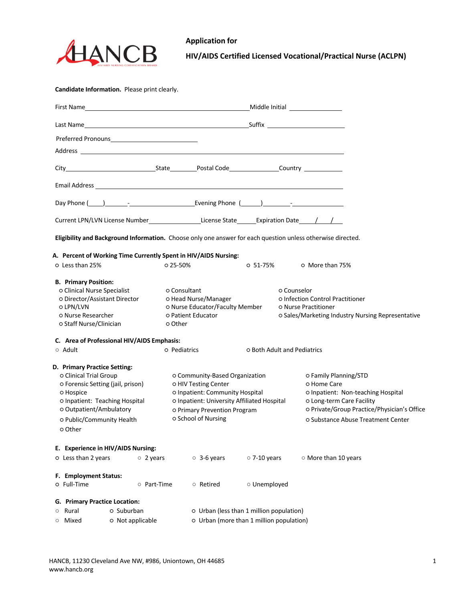

## **Application for HIV/AIDS Certified Licensed Vocational/Practical Nurse (ACLPN)**

**Candidate Information.** Please print clearly.

|                                                                                                                                                                                                               | Day Phone (100) 2002 - 2003 [201] [201] [201] [201] [201] [201] [201] [201] [201] [201] [201] [201] [201] [201 |                                          |                                                                                                                                                                                                 |                    |                                    |                                                                                                                                                                                              |  |  |
|---------------------------------------------------------------------------------------------------------------------------------------------------------------------------------------------------------------|----------------------------------------------------------------------------------------------------------------|------------------------------------------|-------------------------------------------------------------------------------------------------------------------------------------------------------------------------------------------------|--------------------|------------------------------------|----------------------------------------------------------------------------------------------------------------------------------------------------------------------------------------------|--|--|
|                                                                                                                                                                                                               | Current LPN/LVN License Number_____________________License State________Expiration Date_____/___/___           |                                          |                                                                                                                                                                                                 |                    |                                    |                                                                                                                                                                                              |  |  |
|                                                                                                                                                                                                               |                                                                                                                |                                          |                                                                                                                                                                                                 |                    |                                    | Eligibility and Background Information. Choose only one answer for each question unless otherwise directed.                                                                                  |  |  |
|                                                                                                                                                                                                               | A. Percent of Working Time Currently Spent in HIV/AIDS Nursing:                                                |                                          |                                                                                                                                                                                                 |                    |                                    |                                                                                                                                                                                              |  |  |
| O Less than 25%                                                                                                                                                                                               |                                                                                                                | o 25-50%                                 |                                                                                                                                                                                                 | $0.51 - 75%$       |                                    | ○ More than 75%                                                                                                                                                                              |  |  |
| <b>B. Primary Position:</b><br>o Clinical Nurse Specialist<br>o Director/Assistant Director<br>O LPN/LVN<br>o Nurse Researcher<br>o Staff Nurse/Clinician                                                     |                                                                                                                | o Consultant<br>o Other                  | o Head Nurse/Manager<br>o Nurse Educator/Faculty Member<br>O Patient Educator                                                                                                                   |                    | o Counselor                        | o Infection Control Practitioner<br><b>O</b> Nurse Practitioner<br>o Sales/Marketing Industry Nursing Representative                                                                         |  |  |
|                                                                                                                                                                                                               | C. Area of Professional HIV/AIDS Emphasis:                                                                     |                                          |                                                                                                                                                                                                 |                    |                                    |                                                                                                                                                                                              |  |  |
| $\circ$ Adult                                                                                                                                                                                                 |                                                                                                                |                                          | o Pediatrics                                                                                                                                                                                    |                    | <b>O Both Adult and Pediatrics</b> |                                                                                                                                                                                              |  |  |
| D. Primary Practice Setting:<br>o Clinical Trial Group<br>o Forensic Setting (jail, prison)<br>o Hospice<br>o Inpatient: Teaching Hospital<br>o Outpatient/Ambulatory<br>o Public/Community Health<br>o Other |                                                                                                                |                                          | o Community-Based Organization<br>O HIV Testing Center<br>O Inpatient: Community Hospital<br>o Inpatient: University Affiliated Hospital<br>o Primary Prevention Program<br>o School of Nursing |                    |                                    | O Family Planning/STD<br>o Home Care<br>O Inpatient: Non-teaching Hospital<br>o Long-term Care Facility<br>o Private/Group Practice/Physician's Office<br>O Substance Abuse Treatment Center |  |  |
|                                                                                                                                                                                                               | E. Experience in HIV/AIDS Nursing:                                                                             |                                          |                                                                                                                                                                                                 |                    |                                    |                                                                                                                                                                                              |  |  |
| O Less than 2 years                                                                                                                                                                                           | $\circ$ 2 years                                                                                                |                                          | $\circ$ 3-6 years                                                                                                                                                                               | $\circ$ 7-10 years |                                    | O More than 10 years                                                                                                                                                                         |  |  |
| F. Employment Status:<br>o Full-Time                                                                                                                                                                          | ○ Part-Time                                                                                                    |                                          | ○ Retired                                                                                                                                                                                       | O Unemployed       |                                    |                                                                                                                                                                                              |  |  |
| G. Primary Practice Location:                                                                                                                                                                                 |                                                                                                                |                                          |                                                                                                                                                                                                 |                    |                                    |                                                                                                                                                                                              |  |  |
| Rural<br>$\circ$                                                                                                                                                                                              | o Suburban                                                                                                     | o Urban (less than 1 million population) |                                                                                                                                                                                                 |                    |                                    |                                                                                                                                                                                              |  |  |
| Mixed<br>$\circ$                                                                                                                                                                                              | o Urban (more than 1 million population)<br>o Not applicable                                                   |                                          |                                                                                                                                                                                                 |                    |                                    |                                                                                                                                                                                              |  |  |